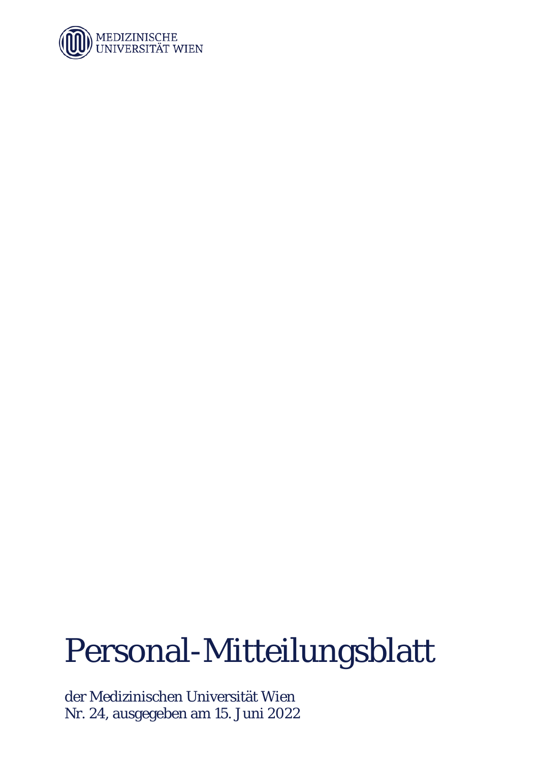

# Personal-Mitteilungsblatt

der Medizinischen Universität Wien Nr. 24, ausgegeben am 15. Juni 2022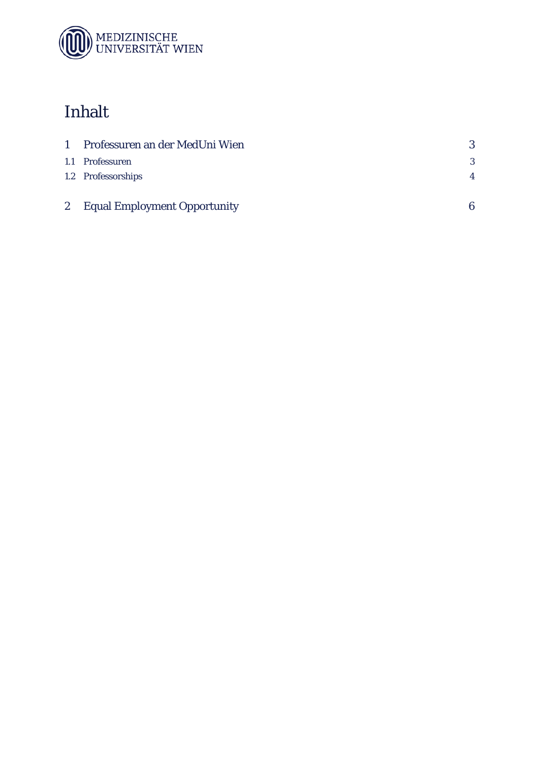

# Inhalt

| 1 Professuren an der MedUni Wien | 3              |
|----------------------------------|----------------|
| 1.1 Professuren                  | 3              |
| 1.2 Professorships               | $\overline{4}$ |
|                                  |                |
| 2 Equal Employment Opportunity   | 6              |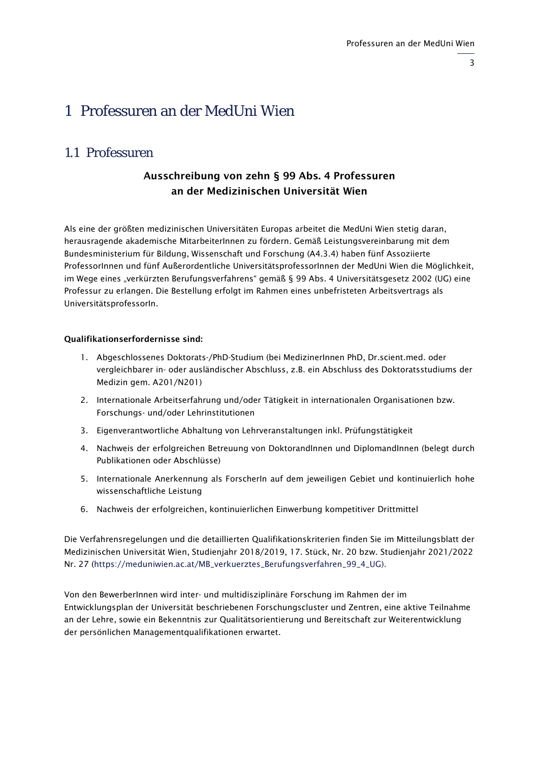# <span id="page-2-0"></span>1 Professuren an der MedUni Wien

### <span id="page-2-1"></span>1.1 Professuren

#### Ausschreibung von zehn § 99 Abs. 4 Professuren an der Medizinischen Universität Wien

Als eine der größten medizinischen Universitäten Europas arbeitet die MedUni Wien stetig daran, herausragende akademische MitarbeiterInnen zu fördern. Gemäß Leistungsvereinbarung mit dem Bundesministerium für Bildung, Wissenschaft und Forschung (A4.3.4) haben fünf Assoziierte ProfessorInnen und fünf Außerordentliche UniversitätsprofessorInnen der MedUni Wien die Möglichkeit, im Wege eines "verkürzten Berufungsverfahrens" gemäß § 99 Abs. 4 Universitätsgesetz 2002 (UG) eine Professur zu erlangen. Die Bestellung erfolgt im Rahmen eines unbefristeten Arbeitsvertrags als UniversitätsprofessorIn.

#### Qualifikationserfordernisse sind:

- 1. Abgeschlossenes Doktorats-/PhD-Studium (bei MedizinerInnen PhD, Dr.scient.med. oder vergleichbarer in- oder ausländischer Abschluss, z.B. ein Abschluss des Doktoratsstudiums der Medizin gem. A201/N201)
- 2. Internationale Arbeitserfahrung und/oder Tätigkeit in internationalen Organisationen bzw. Forschungs- und/oder Lehrinstitutionen
- 3. Eigenverantwortliche Abhaltung von Lehrveranstaltungen inkl. Prüfungstätigkeit
- 4. Nachweis der erfolgreichen Betreuung von DoktorandInnen und DiplomandInnen (belegt durch Publikationen oder Abschlüsse)
- 5. Internationale Anerkennung als ForscherIn auf dem jeweiligen Gebiet und kontinuierlich hohe wissenschaftliche Leistung
- 6. Nachweis der erfolgreichen, kontinuierlichen Einwerbung kompetitiver Drittmittel

Die Verfahrensregelungen und die detaillierten Qualifikationskriterien finden Sie im Mitteilungsblatt der Medizinischen Universität Wien, Studienjahr 2018/2019, 17. Stück, Nr. 20 bzw. Studienjahr 2021/2022 Nr. 27 [\(https://meduniwien.ac.at/MB\\_verkuerztes\\_Berufungsverfahren\\_99\\_4\\_UG\)](https://meduniwien.ac.at/MB_verkuerztes_Berufungsverfahren_99_4_UG).

Von den BewerberInnen wird inter- und multidisziplinäre Forschung im Rahmen der im Entwicklungsplan der Universität beschriebenen Forschungscluster und Zentren, eine aktive Teilnahme an der Lehre, sowie ein Bekenntnis zur Qualitätsorientierung und Bereitschaft zur Weiterentwicklung der persönlichen Managementqualifikationen erwartet.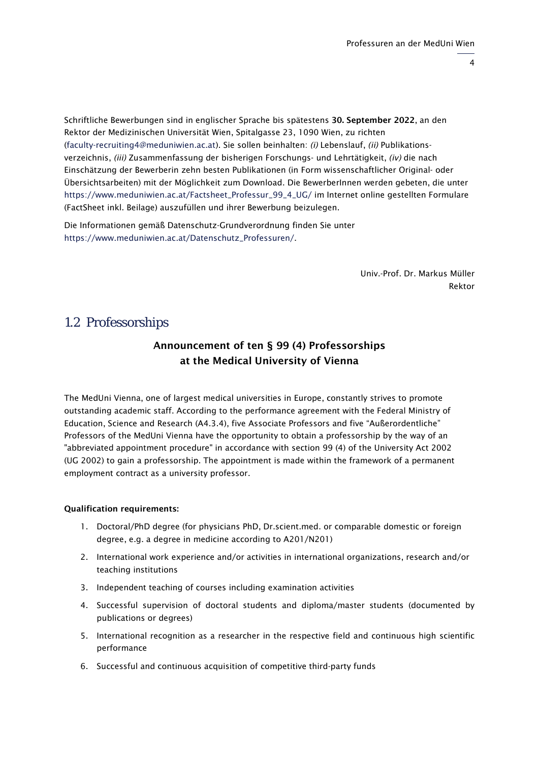4

Schriftliche Bewerbungen sind in englischer Sprache bis spätestens 30. September 2022, an den Rektor der Medizinischen Universität Wien, Spitalgasse 23, 1090 Wien, zu richten [\(faculty-recruiting4@meduniwien.ac.at\)](mailto:faculty-recruiting4@meduniwien.ac.at). Sie sollen beinhalten: *(i)* Lebenslauf, *(ii)* Publikationsverzeichnis, *(iii)* Zusammenfassung der bisherigen Forschungs- und Lehrtätigkeit, *(iv)* die nach Einschätzung der Bewerberin zehn besten Publikationen (in Form wissenschaftlicher Original- oder Übersichtsarbeiten) mit der Möglichkeit zum Download. Die BewerberInnen werden gebeten, die unter [https://www.meduniwien.ac.at/Factsheet\\_Professur\\_99\\_4\\_UG/](https://www.meduniwien.ac.at/Factsheet_Professur_99_4_UG/) im Internet online gestellten Formulare (FactSheet inkl. Beilage) auszufüllen und ihrer Bewerbung beizulegen.

Die Informationen gemäß Datenschutz-Grundverordnung finden Sie unter [https://www.meduniwien.ac.at/Datenschutz\\_Professuren/.](https://www.meduniwien.ac.at/Datenschutz_Professuren/)

> Univ.-Prof. Dr. Markus Müller Rektor

#### <span id="page-3-0"></span>1.2 Professorships

#### Announcement of ten § 99 (4) Professorships at the Medical University of Vienna

The MedUni Vienna, one of largest medical universities in Europe, constantly strives to promote outstanding academic staff. According to the performance agreement with the Federal Ministry of Education, Science and Research (A4.3.4), five Associate Professors and five "Außerordentliche" Professors of the MedUni Vienna have the opportunity to obtain a professorship by the way of an "abbreviated appointment procedure" in accordance with section 99 (4) of the University Act 2002 (UG 2002) to gain a professorship. The appointment is made within the framework of a permanent employment contract as a university professor.

#### Qualification requirements:

- 1. Doctoral/PhD degree (for physicians PhD, Dr.scient.med. or comparable domestic or foreign degree, e.g. a degree in medicine according to A201/N201)
- 2. International work experience and/or activities in international organizations, research and/or teaching institutions
- 3. Independent teaching of courses including examination activities
- 4. Successful supervision of doctoral students and diploma/master students (documented by publications or degrees)
- 5. International recognition as a researcher in the respective field and continuous high scientific performance
- 6. Successful and continuous acquisition of competitive third-party funds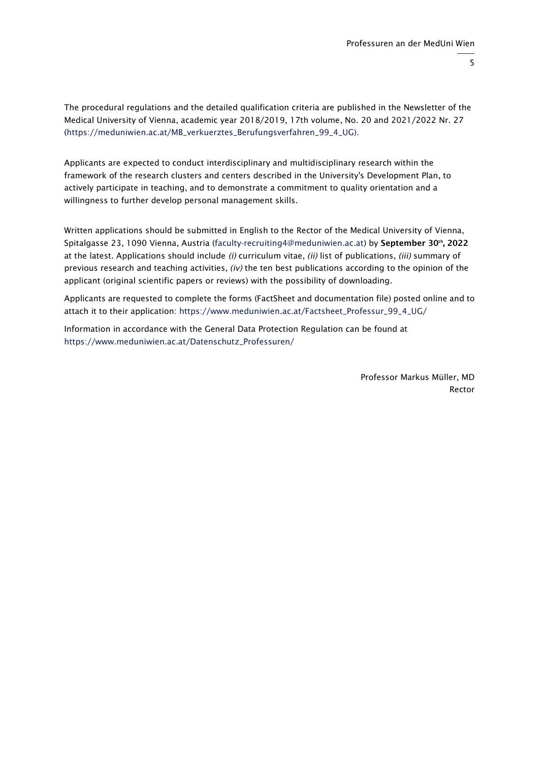5

The procedural regulations and the detailed qualification criteria are published in the Newsletter of the Medical University of Vienna, academic year 2018/2019, 17th volume, No. 20 and 2021/2022 Nr. 27 [\(https://meduniwien.ac.at/MB\\_verkuerztes\\_Berufungsverfahren\\_99\\_4\\_UG\)](https://meduniwien.ac.at/MB_verkuerztes_Berufungsverfahren_99_4_UG).

Applicants are expected to conduct interdisciplinary and multidisciplinary research within the framework of the research clusters and centers described in the University's Development Plan, to actively participate in teaching, and to demonstrate a commitment to quality orientation and a willingness to further develop personal management skills.

Written applications should be submitted in English to the Rector of the Medical University of Vienna, Spitalgasse 23, 1090 Vienna, Austria [\(faculty-recruiting4@meduniwien.ac.at\)](mailto:faculty-recruiting4@meduniwien.ac.at) by September 30<sup>th</sup>, 2022 at the latest. Applications should include *(i)* curriculum vitae, *(ii)* list of publications, *(iii)* summary of previous research and teaching activities, *(iv)* the ten best publications according to the opinion of the applicant (original scientific papers or reviews) with the possibility of downloading.

Applicants are requested to complete the forms (FactSheet and documentation file) posted online and to attach it to their application: [https://www.meduniwien.ac.at/Factsheet\\_Professur\\_99\\_4\\_UG/](https://www.meduniwien.ac.at/Factsheet_Professur_99_4_UG/)

Information in accordance with the General Data Protection Regulation can be found at [https://www.meduniwien.ac.at/Datenschutz\\_Professuren/](https://www.meduniwien.ac.at/Datenschutz_Professuren/)

> Professor Markus Müller, MD Rector